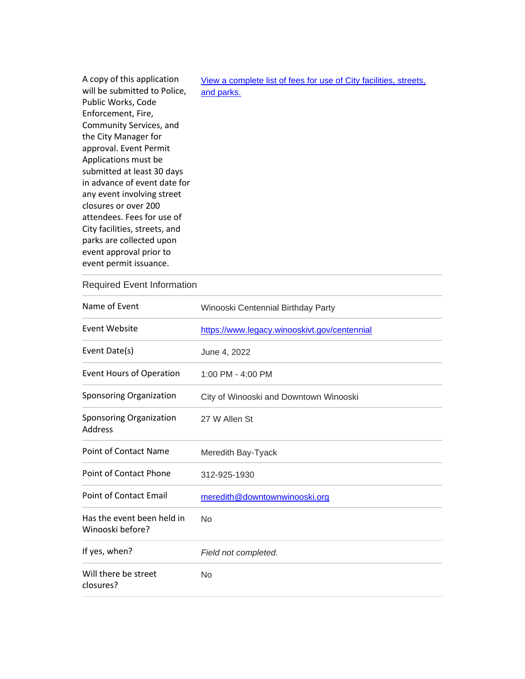| A copy of this application<br>will be submitted to Police, | View a complete list of fees for use of City facilities, streets,<br>and parks. |
|------------------------------------------------------------|---------------------------------------------------------------------------------|
| Public Works, Code                                         |                                                                                 |
| Enforcement, Fire,                                         |                                                                                 |
| Community Services, and                                    |                                                                                 |
| the City Manager for                                       |                                                                                 |
| approval. Event Permit                                     |                                                                                 |
| Applications must be                                       |                                                                                 |
| submitted at least 30 days                                 |                                                                                 |
| in advance of event date for                               |                                                                                 |
| any event involving street                                 |                                                                                 |
| closures or over 200                                       |                                                                                 |
| attendees. Fees for use of                                 |                                                                                 |
| City facilities, streets, and                              |                                                                                 |
| parks are collected upon                                   |                                                                                 |
| event approval prior to                                    |                                                                                 |
| event permit issuance.                                     |                                                                                 |
|                                                            |                                                                                 |

## Required Event Information

| Name of Event                                  | Winooski Centennial Birthday Party           |
|------------------------------------------------|----------------------------------------------|
| Event Website                                  | https://www.legacy.winooskivt.gov/centennial |
| Event Date(s)                                  | June 4, 2022                                 |
| <b>Event Hours of Operation</b>                | 1:00 PM - 4:00 PM                            |
| Sponsoring Organization                        | City of Winooski and Downtown Winooski       |
| Sponsoring Organization<br><b>Address</b>      | 27 W Allen St                                |
| <b>Point of Contact Name</b>                   | Meredith Bay-Tyack                           |
| <b>Point of Contact Phone</b>                  | 312-925-1930                                 |
| <b>Point of Contact Email</b>                  | meredith@downtownwinooski.org                |
| Has the event been held in<br>Winooski before? | N <sub>0</sub>                               |
| If yes, when?                                  | Field not completed.                         |
| Will there be street<br>closures?              | <b>No</b>                                    |
|                                                |                                              |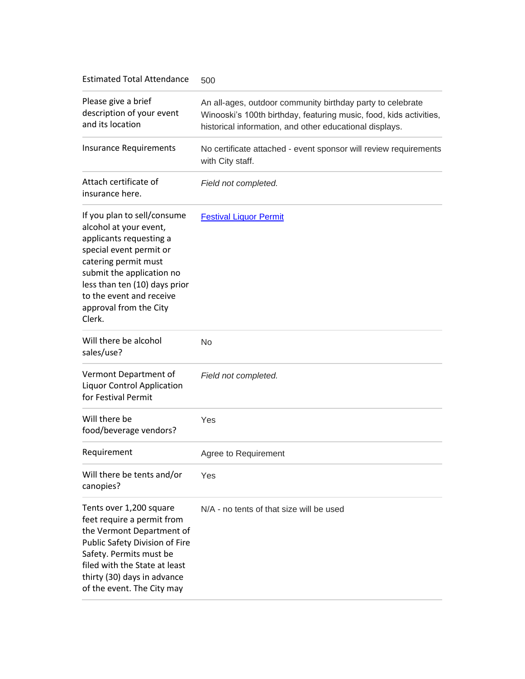Estimated Total Attendance 500

| Please give a brief<br>description of your event<br>and its location                                                                                                                                                                                              | An all-ages, outdoor community birthday party to celebrate<br>Winooski's 100th birthday, featuring music, food, kids activities,<br>historical information, and other educational displays. |
|-------------------------------------------------------------------------------------------------------------------------------------------------------------------------------------------------------------------------------------------------------------------|---------------------------------------------------------------------------------------------------------------------------------------------------------------------------------------------|
| <b>Insurance Requirements</b>                                                                                                                                                                                                                                     | No certificate attached - event sponsor will review requirements<br>with City staff.                                                                                                        |
| Attach certificate of<br>insurance here.                                                                                                                                                                                                                          | Field not completed.                                                                                                                                                                        |
| If you plan to sell/consume<br>alcohol at your event,<br>applicants requesting a<br>special event permit or<br>catering permit must<br>submit the application no<br>less than ten (10) days prior<br>to the event and receive<br>approval from the City<br>Clerk. | <b>Festival Liquor Permit</b>                                                                                                                                                               |
| Will there be alcohol<br>sales/use?                                                                                                                                                                                                                               | No                                                                                                                                                                                          |
| Vermont Department of<br><b>Liquor Control Application</b><br>for Festival Permit                                                                                                                                                                                 | Field not completed.                                                                                                                                                                        |
| Will there be<br>food/beverage vendors?                                                                                                                                                                                                                           | Yes                                                                                                                                                                                         |
| Requirement                                                                                                                                                                                                                                                       | Agree to Requirement                                                                                                                                                                        |
| Will there be tents and/or<br>canopies?                                                                                                                                                                                                                           | Yes                                                                                                                                                                                         |
| Tents over 1,200 square<br>feet require a permit from<br>the Vermont Department of<br>Public Safety Division of Fire<br>Safety. Permits must be<br>filed with the State at least<br>thirty (30) days in advance<br>of the event. The City may                     | N/A - no tents of that size will be used                                                                                                                                                    |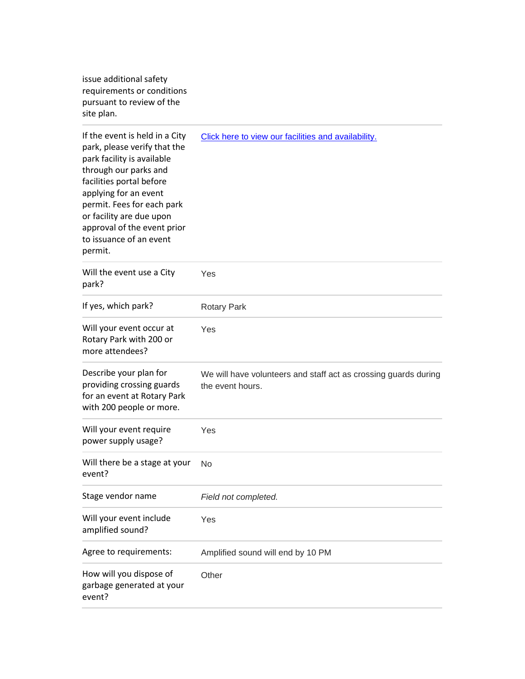issue additional safety requirements or conditions pursuant to review of the site plan.

| If the event is held in a City<br>park, please verify that the<br>park facility is available<br>through our parks and<br>facilities portal before<br>applying for an event<br>permit. Fees for each park<br>or facility are due upon<br>approval of the event prior<br>to issuance of an event<br>permit. | Click here to view our facilities and availability.                                 |
|-----------------------------------------------------------------------------------------------------------------------------------------------------------------------------------------------------------------------------------------------------------------------------------------------------------|-------------------------------------------------------------------------------------|
| Will the event use a City<br>park?                                                                                                                                                                                                                                                                        | Yes                                                                                 |
| If yes, which park?                                                                                                                                                                                                                                                                                       | <b>Rotary Park</b>                                                                  |
| Will your event occur at<br>Rotary Park with 200 or<br>more attendees?                                                                                                                                                                                                                                    | Yes                                                                                 |
| Describe your plan for<br>providing crossing guards<br>for an event at Rotary Park<br>with 200 people or more.                                                                                                                                                                                            | We will have volunteers and staff act as crossing guards during<br>the event hours. |
| Will your event require<br>power supply usage?                                                                                                                                                                                                                                                            | Yes                                                                                 |
| Will there be a stage at your<br>event?                                                                                                                                                                                                                                                                   | No                                                                                  |
| Stage vendor name                                                                                                                                                                                                                                                                                         | Field not completed.                                                                |
| Will your event include<br>amplified sound?                                                                                                                                                                                                                                                               | Yes                                                                                 |
| Agree to requirements:                                                                                                                                                                                                                                                                                    | Amplified sound will end by 10 PM                                                   |
| How will you dispose of<br>garbage generated at your<br>event?                                                                                                                                                                                                                                            | Other                                                                               |